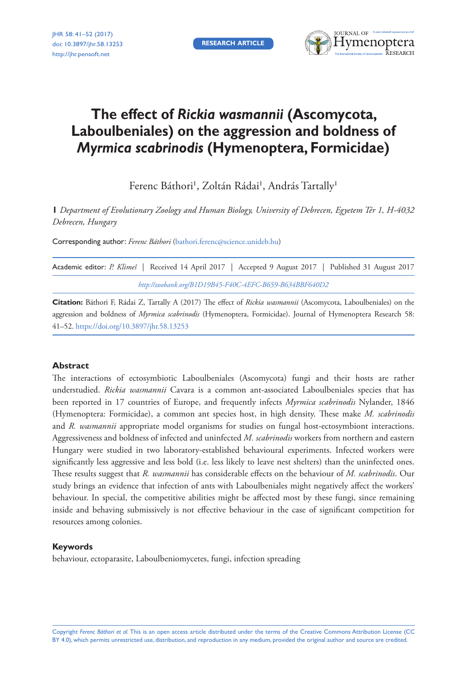**RESEARCH ARTICLE**



# **The effect of** *Rickia wasmannii* **(Ascomycota, Laboulbeniales) on the aggression and boldness of**  *Myrmica scabrinodis* **(Hymenoptera, Formicidae)**

Ferenc Báthori<sup>1</sup>, Zoltán Rádai<sup>1</sup>, András Tartally<sup>1</sup>

**1** *Department of Evolutionary Zoology and Human Biology, University of Debrecen, Egyetem Tér 1, H-4032 Debrecen, Hungary*

Corresponding author: *Ferenc Báthori* ([bathori.ferenc@science.unideb.hu](mailto:bathori.ferenc@science.unideb.hu))

|                                                         |  |  |  | Academic editor: P. Klimeš   Received 14 April 2017   Accepted 9 August 2017   Published 31 August 2017 |  |  |  |  |  |  |  |  |
|---------------------------------------------------------|--|--|--|---------------------------------------------------------------------------------------------------------|--|--|--|--|--|--|--|--|
| http://zoobank.org/B1D19B45-F40C-4EFC-B659-B634BBF640D2 |  |  |  |                                                                                                         |  |  |  |  |  |  |  |  |

**Citation:** Báthori F, Rádai Z, Tartally A (2017) The effect of *Rickia wasmannii* (Ascomycota, Laboulbeniales) on the aggression and boldness of *Myrmica scabrinodis* (Hymenoptera, Formicidae). Journal of Hymenoptera Research 58: 41–52. <https://doi.org/10.3897/jhr.58.13253>

## **Abstract**

The interactions of ectosymbiotic Laboulbeniales (Ascomycota) fungi and their hosts are rather understudied. *Rickia wasmannii* Cavara is a common ant-associated Laboulbeniales species that has been reported in 17 countries of Europe, and frequently infects *Myrmica scabrinodis* Nylander, 1846 (Hymenoptera: Formicidae), a common ant species host, in high density. These make *M. scabrinodis* and *R. wasmannii* appropriate model organisms for studies on fungal host-ectosymbiont interactions. Aggressiveness and boldness of infected and uninfected *M. scabrinodis* workers from northern and eastern Hungary were studied in two laboratory-established behavioural experiments. Infected workers were significantly less aggressive and less bold (i.e. less likely to leave nest shelters) than the uninfected ones. These results suggest that *R. wasmannii* has considerable effects on the behaviour of *M. scabrinodis*. Our study brings an evidence that infection of ants with Laboulbeniales might negatively affect the workers' behaviour. In special, the competitive abilities might be affected most by these fungi, since remaining inside and behaving submissively is not effective behaviour in the case of significant competition for resources among colonies.

## **Keywords**

behaviour, ectoparasite, Laboulbeniomycetes, fungi, infection spreading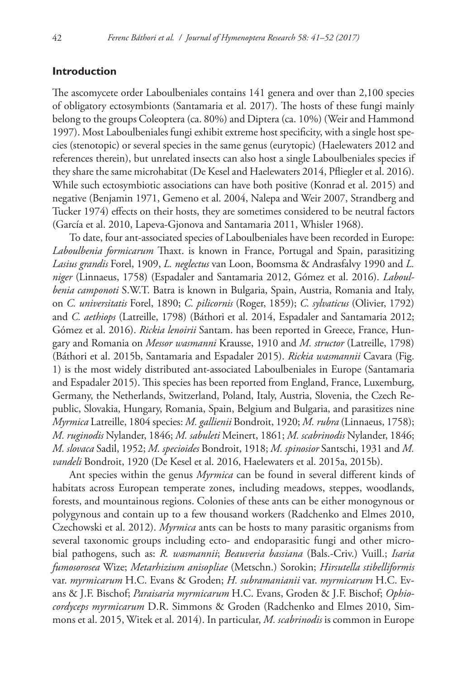# **Introduction**

The ascomycete order Laboulbeniales contains 141 genera and over than 2,100 species of obligatory ectosymbionts (Santamaria et al. 2017). The hosts of these fungi mainly belong to the groups Coleoptera (ca. 80%) and Diptera (ca. 10%) (Weir and Hammond 1997). Most Laboulbeniales fungi exhibit extreme host specificity, with a single host species (stenotopic) or several species in the same genus (eurytopic) (Haelewaters 2012 and references therein), but unrelated insects can also host a single Laboulbeniales species if they share the same microhabitat (De Kesel and Haelewaters 2014, Pfliegler et al. 2016). While such ectosymbiotic associations can have both positive (Konrad et al. 2015) and negative (Benjamin 1971, Gemeno et al. 2004, Nalepa and Weir 2007, Strandberg and Tucker 1974) effects on their hosts, they are sometimes considered to be neutral factors (García et al. 2010, Lapeva-Gjonova and Santamaria 2011, Whisler 1968).

To date, four ant-associated species of Laboulbeniales have been recorded in Europe: *Laboulbenia formicarum* Thaxt. is known in France, Portugal and Spain, parasitizing *Lasius grandis* Forel, 1909, *L. neglectus* van Loon, Boomsma & Andrasfalvy 1990 and *L. niger* (Linnaeus, 1758) (Espadaler and Santamaria 2012, Gómez et al. 2016). *Laboulbenia camponoti* S.W.T. Batra is known in Bulgaria, Spain, Austria, Romania and Italy, on *C. universitatis* Forel, 1890; *C. pilicornis* (Roger, 1859); *C. sylvaticus* (Olivier, 1792) and *C. aethiops* (Latreille, 1798) (Báthori et al. 2014, Espadaler and Santamaria 2012; Gómez et al. 2016). *Rickia lenoirii* Santam. has been reported in Greece, France, Hungary and Romania on *Messor wasmanni* Krausse, 1910 and *M. structor* (Latreille, 1798) (Báthori et al. 2015b, Santamaria and Espadaler 2015). *Rickia wasmannii* Cavara (Fig. 1) is the most widely distributed ant-associated Laboulbeniales in Europe (Santamaria and Espadaler 2015). This species has been reported from England, France, Luxemburg, Germany, the Netherlands, Switzerland, Poland, Italy, Austria, Slovenia, the Czech Republic, Slovakia, Hungary, Romania, Spain, Belgium and Bulgaria, and parasitizes nine *Myrmica* Latreille, 1804 species: *M. gallienii* Bondroit, 1920; *M. rubra* (Linnaeus, 1758); *M. ruginodis* Nylander, 1846; *M. sabuleti* Meinert, 1861; *M. scabrinodis* Nylander, 1846; *M. slovaca* Sadil, 1952; *M. specioides* Bondroit, 1918; *M. spinosior* Santschi, 1931 and *M. vandeli* Bondroit, 1920 (De Kesel et al. 2016, Haelewaters et al. 2015a, 2015b).

Ant species within the genus *Myrmica* can be found in several different kinds of habitats across European temperate zones, including meadows, steppes, woodlands, forests, and mountainous regions. Colonies of these ants can be either monogynous or polygynous and contain up to a few thousand workers (Radchenko and Elmes 2010, Czechowski et al. 2012). *Myrmica* ants can be hosts to many parasitic organisms from several taxonomic groups including ecto- and endoparasitic fungi and other microbial pathogens, such as: *R. wasmannii*; *Beauveria bassiana* (Bals.-Criv.) Vuill.; *Isaria fumosorosea* Wize; *Metarhizium anisopliae* (Metschn.) Sorokin; *Hirsutella stibelliformis* var. *myrmicarum* H.C. Evans & Groden; *H. subramanianii* var. *myrmicarum* H.C. Evans & J.F. Bischof; *Paraisaria myrmicarum* H.C. Evans, Groden & J.F. Bischof; *Ophiocordyceps myrmicarum* D.R. Simmons & Groden (Radchenko and Elmes 2010, Simmons et al. 2015, Witek et al. 2014). In particular, *M. scabrinodis* is common in Europe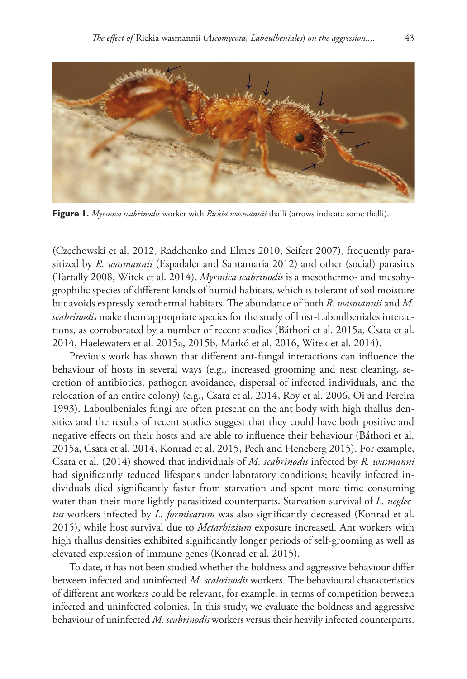

**Figure 1.** *Myrmica scabrinodis* worker with *Rickia wasmannii* thalli (arrows indicate some thalli).

(Czechowski et al. 2012, Radchenko and Elmes 2010, Seifert 2007), frequently parasitized by *R. wasmannii* (Espadaler and Santamaria 2012) and other (social) parasites (Tartally 2008, Witek et al. 2014). *Myrmica scabrinodis* is a mesothermo- and mesohygrophilic species of different kinds of humid habitats, which is tolerant of soil moisture but avoids expressly xerothermal habitats. The abundance of both *R. wasmannii* and *M. scabrinodis* make them appropriate species for the study of host-Laboulbeniales interactions, as corroborated by a number of recent studies (Báthori et al. 2015a, Csata et al. 2014, Haelewaters et al. 2015a, 2015b, Markó et al. 2016, Witek et al. 2014).

Previous work has shown that different ant-fungal interactions can influence the behaviour of hosts in several ways (e.g., increased grooming and nest cleaning, secretion of antibiotics, pathogen avoidance, dispersal of infected individuals, and the relocation of an entire colony) (e.g., Csata et al. 2014, Roy et al. 2006, Oi and Pereira 1993). Laboulbeniales fungi are often present on the ant body with high thallus densities and the results of recent studies suggest that they could have both positive and negative effects on their hosts and are able to influence their behaviour (Báthori et al. 2015a, Csata et al. 2014, Konrad et al. 2015, Pech and Heneberg 2015). For example, Csata et al. (2014) showed that individuals of *M. scabrinodis* infected by *R. wasmanni* had significantly reduced lifespans under laboratory conditions; heavily infected individuals died significantly faster from starvation and spent more time consuming water than their more lightly parasitized counterparts. Starvation survival of *L. neglectus* workers infected by *L. formicarum* was also significantly decreased (Konrad et al. 2015), while host survival due to *Metarhizium* exposure increased. Ant workers with high thallus densities exhibited significantly longer periods of self-grooming as well as elevated expression of immune genes (Konrad et al. 2015).

To date, it has not been studied whether the boldness and aggressive behaviour differ between infected and uninfected *M. scabrinodis* workers. The behavioural characteristics of different ant workers could be relevant, for example, in terms of competition between infected and uninfected colonies. In this study, we evaluate the boldness and aggressive behaviour of uninfected *M. scabrinodis* workers versus their heavily infected counterparts.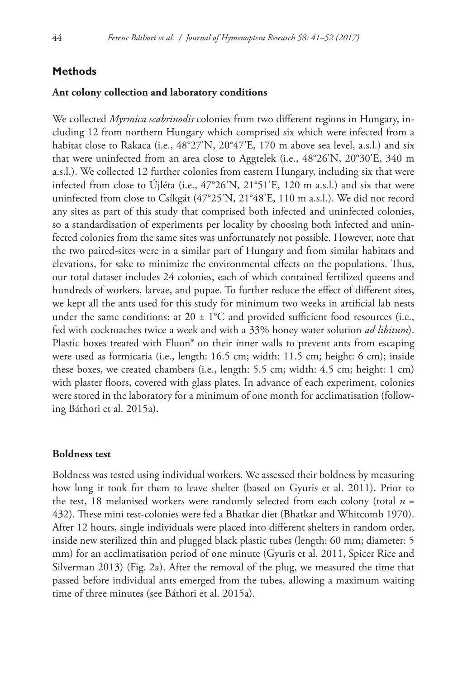# **Methods**

## **Ant colony collection and laboratory conditions**

We collected *Myrmica scabrinodis* colonies from two different regions in Hungary, including 12 from northern Hungary which comprised six which were infected from a habitat close to Rakaca (i.e., 48°27'N, 20°47'E, 170 m above sea level, a.s.l.) and six that were uninfected from an area close to Aggtelek (i.e., 48°26'N, 20°30'E, 340 m a.s.l.). We collected 12 further colonies from eastern Hungary, including six that were infected from close to Újléta (i.e., 47°26'N, 21°51'E, 120 m a.s.l.) and six that were uninfected from close to Csíkgát (47°25'N, 21°48'E, 110 m a.s.l.). We did not record any sites as part of this study that comprised both infected and uninfected colonies, so a standardisation of experiments per locality by choosing both infected and uninfected colonies from the same sites was unfortunately not possible. However, note that the two paired-sites were in a similar part of Hungary and from similar habitats and elevations, for sake to minimize the environmental effects on the populations. Thus, our total dataset includes 24 colonies, each of which contained fertilized queens and hundreds of workers, larvae, and pupae. To further reduce the effect of different sites, we kept all the ants used for this study for minimum two weeks in artificial lab nests under the same conditions: at  $20 \pm 1^{\circ}$ C and provided sufficient food resources (i.e., fed with cockroaches twice a week and with a 33% honey water solution *ad libitum*). Plastic boxes treated with Fluon<sup>®</sup> on their inner walls to prevent ants from escaping were used as formicaria (i.e., length: 16.5 cm; width: 11.5 cm; height: 6 cm); inside these boxes, we created chambers (i.e., length: 5.5 cm; width: 4.5 cm; height: 1 cm) with plaster floors, covered with glass plates. In advance of each experiment, colonies were stored in the laboratory for a minimum of one month for acclimatisation (following Báthori et al. 2015a).

# **Boldness test**

Boldness was tested using individual workers. We assessed their boldness by measuring how long it took for them to leave shelter (based on Gyuris et al. 2011). Prior to the test, 18 melanised workers were randomly selected from each colony (total *n* = 432). These mini test-colonies were fed a Bhatkar diet (Bhatkar and Whitcomb 1970). After 12 hours, single individuals were placed into different shelters in random order, inside new sterilized thin and plugged black plastic tubes (length: 60 mm; diameter: 5 mm) for an acclimatisation period of one minute (Gyuris et al. 2011, Spicer Rice and Silverman 2013) (Fig. 2a). After the removal of the plug, we measured the time that passed before individual ants emerged from the tubes, allowing a maximum waiting time of three minutes (see Báthori et al. 2015a).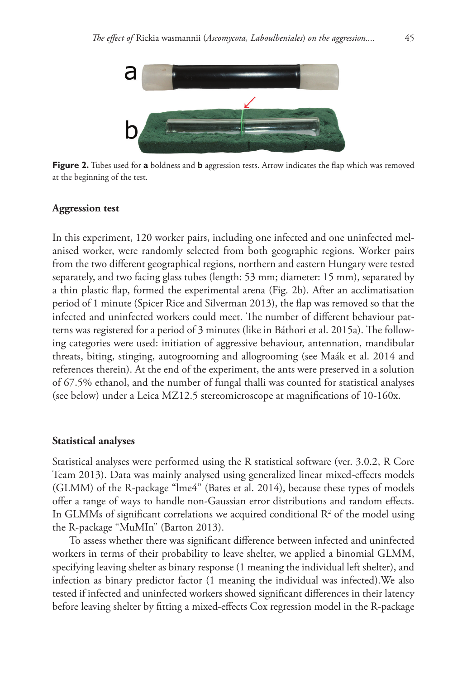

**Figure 2.** Tubes used for **a** boldness and **b** aggression tests. Arrow indicates the flap which was removed at the beginning of the test.

# **Aggression test**

In this experiment, 120 worker pairs, including one infected and one uninfected melanised worker, were randomly selected from both geographic regions. Worker pairs from the two different geographical regions, northern and eastern Hungary were tested separately, and two facing glass tubes (length: 53 mm; diameter: 15 mm), separated by a thin plastic flap, formed the experimental arena (Fig. 2b). After an acclimatisation period of 1 minute (Spicer Rice and Silverman 2013), the flap was removed so that the infected and uninfected workers could meet. The number of different behaviour patterns was registered for a period of 3 minutes (like in Báthori et al. 2015a). The following categories were used: initiation of aggressive behaviour, antennation, mandibular threats, biting, stinging, autogrooming and allogrooming (see Maák et al. 2014 and references therein). At the end of the experiment, the ants were preserved in a solution of 67.5% ethanol, and the number of fungal thalli was counted for statistical analyses (see below) under a Leica MZ12.5 stereomicroscope at magnifications of 10-160x.

#### **Statistical analyses**

Statistical analyses were performed using the R statistical software (ver. 3.0.2, R Core Team 2013). Data was mainly analysed using generalized linear mixed-effects models (GLMM) of the R-package "lme4" (Bates et al. 2014), because these types of models offer a range of ways to handle non-Gaussian error distributions and random effects. In GLMMs of significant correlations we acquired conditional  $\mathbb{R}^2$  of the model using the R-package "MuMIn" (Barton 2013).

To assess whether there was significant difference between infected and uninfected workers in terms of their probability to leave shelter, we applied a binomial GLMM, specifying leaving shelter as binary response (1 meaning the individual left shelter), and infection as binary predictor factor (1 meaning the individual was infected).We also tested if infected and uninfected workers showed significant differences in their latency before leaving shelter by fitting a mixed-effects Cox regression model in the R-package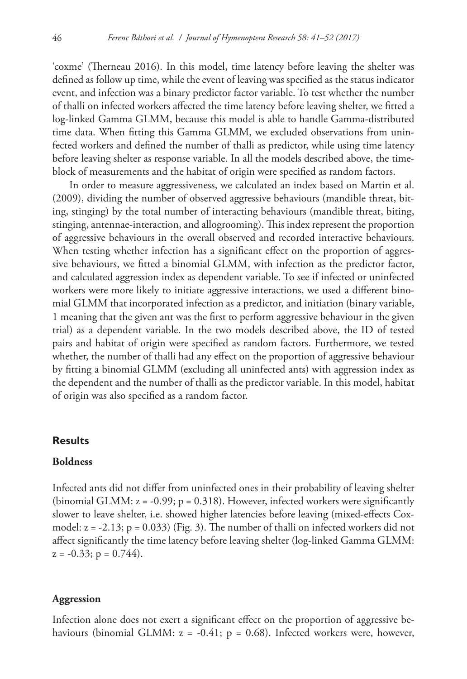'coxme' (Therneau 2016). In this model, time latency before leaving the shelter was defined as follow up time, while the event of leaving was specified as the status indicator event, and infection was a binary predictor factor variable. To test whether the number of thalli on infected workers affected the time latency before leaving shelter, we fitted a log-linked Gamma GLMM, because this model is able to handle Gamma-distributed time data. When fitting this Gamma GLMM, we excluded observations from uninfected workers and defined the number of thalli as predictor, while using time latency before leaving shelter as response variable. In all the models described above, the timeblock of measurements and the habitat of origin were specified as random factors.

In order to measure aggressiveness, we calculated an index based on Martin et al. (2009), dividing the number of observed aggressive behaviours (mandible threat, biting, stinging) by the total number of interacting behaviours (mandible threat, biting, stinging, antennae-interaction, and allogrooming). This index represent the proportion of aggressive behaviours in the overall observed and recorded interactive behaviours. When testing whether infection has a significant effect on the proportion of aggressive behaviours, we fitted a binomial GLMM, with infection as the predictor factor, and calculated aggression index as dependent variable. To see if infected or uninfected workers were more likely to initiate aggressive interactions, we used a different binomial GLMM that incorporated infection as a predictor, and initiation (binary variable, 1 meaning that the given ant was the first to perform aggressive behaviour in the given trial) as a dependent variable. In the two models described above, the ID of tested pairs and habitat of origin were specified as random factors. Furthermore, we tested whether, the number of thalli had any effect on the proportion of aggressive behaviour by fitting a binomial GLMM (excluding all uninfected ants) with aggression index as the dependent and the number of thalli as the predictor variable. In this model, habitat of origin was also specified as a random factor.

# **Results**

## **Boldness**

Infected ants did not differ from uninfected ones in their probability of leaving shelter (binomial GLMM:  $z = -0.99$ ;  $p = 0.318$ ). However, infected workers were significantly slower to leave shelter, i.e. showed higher latencies before leaving (mixed-effects Coxmodel:  $z = -2.13$ ;  $p = 0.033$ ) (Fig. 3). The number of thalli on infected workers did not affect significantly the time latency before leaving shelter (log-linked Gamma GLMM:  $z = -0.33$ ;  $p = 0.744$ .

# **Aggression**

Infection alone does not exert a significant effect on the proportion of aggressive behaviours (binomial GLMM:  $z = -0.41$ ;  $p = 0.68$ ). Infected workers were, however,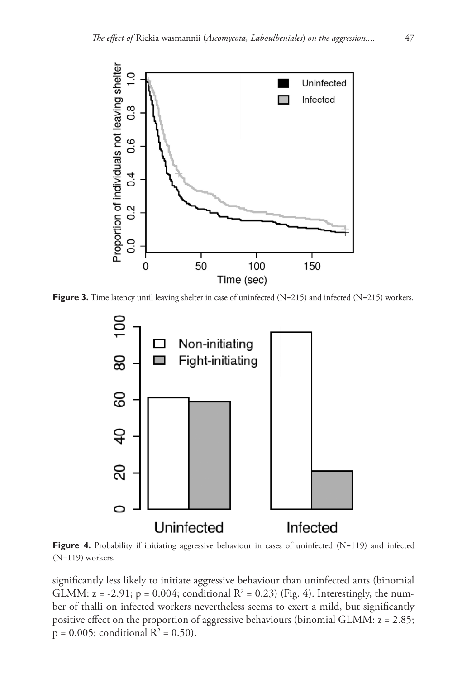

**Figure 3.** Time latency until leaving shelter in case of uninfected (N=215) and infected (N=215) workers.



**Figure 4.** Probability if initiating aggressive behaviour in cases of uninfected (N=119) and infected (N=119) workers.

significantly less likely to initiate aggressive behaviour than uninfected ants (binomial GLMM:  $z = -2.91$ ;  $p = 0.004$ ; conditional  $R^2 = 0.23$ ) (Fig. 4). Interestingly, the number of thalli on infected workers nevertheless seems to exert a mild, but significantly positive effect on the proportion of aggressive behaviours (binomial GLMM: z = 2.85;  $p = 0.005$ ; conditional  $R^2 = 0.50$ ).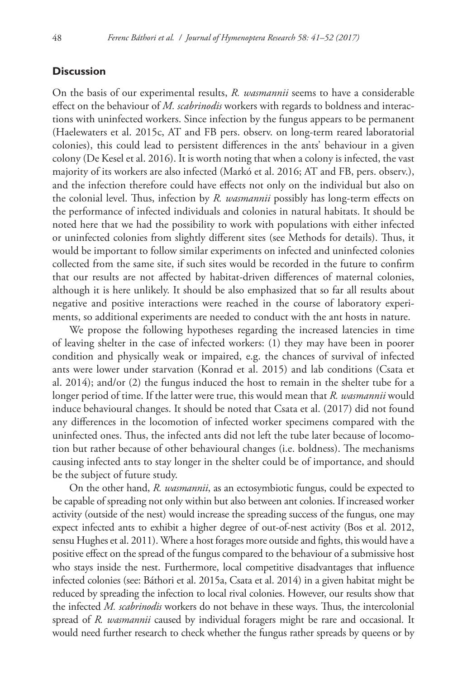# **Discussion**

On the basis of our experimental results, *R. wasmannii* seems to have a considerable effect on the behaviour of *M. scabrinodis* workers with regards to boldness and interactions with uninfected workers. Since infection by the fungus appears to be permanent (Haelewaters et al. 2015c, AT and FB pers. observ. on long-term reared laboratorial colonies), this could lead to persistent differences in the ants' behaviour in a given colony (De Kesel et al. 2016). It is worth noting that when a colony is infected, the vast majority of its workers are also infected (Markó et al. 2016; AT and FB, pers. observ.), and the infection therefore could have effects not only on the individual but also on the colonial level. Thus, infection by *R. wasmannii* possibly has long-term effects on the performance of infected individuals and colonies in natural habitats. It should be noted here that we had the possibility to work with populations with either infected or uninfected colonies from slightly different sites (see Methods for details). Thus, it would be important to follow similar experiments on infected and uninfected colonies collected from the same site, if such sites would be recorded in the future to confirm that our results are not affected by habitat-driven differences of maternal colonies, although it is here unlikely. It should be also emphasized that so far all results about negative and positive interactions were reached in the course of laboratory experiments, so additional experiments are needed to conduct with the ant hosts in nature.

We propose the following hypotheses regarding the increased latencies in time of leaving shelter in the case of infected workers: (1) they may have been in poorer condition and physically weak or impaired, e.g. the chances of survival of infected ants were lower under starvation (Konrad et al. 2015) and lab conditions (Csata et al. 2014); and/or (2) the fungus induced the host to remain in the shelter tube for a longer period of time. If the latter were true, this would mean that *R. wasmannii* would induce behavioural changes. It should be noted that Csata et al. (2017) did not found any differences in the locomotion of infected worker specimens compared with the uninfected ones. Thus, the infected ants did not left the tube later because of locomotion but rather because of other behavioural changes (i.e. boldness). The mechanisms causing infected ants to stay longer in the shelter could be of importance, and should be the subject of future study.

On the other hand, *R. wasmannii*, as an ectosymbiotic fungus, could be expected to be capable of spreading not only within but also between ant colonies. If increased worker activity (outside of the nest) would increase the spreading success of the fungus, one may expect infected ants to exhibit a higher degree of out-of-nest activity (Bos et al. 2012, sensu Hughes et al. 2011). Where a host forages more outside and fights, this would have a positive effect on the spread of the fungus compared to the behaviour of a submissive host who stays inside the nest. Furthermore, local competitive disadvantages that influence infected colonies (see: Báthori et al. 2015a, Csata et al. 2014) in a given habitat might be reduced by spreading the infection to local rival colonies. However, our results show that the infected *M. scabrinodis* workers do not behave in these ways. Thus, the intercolonial spread of *R. wasmannii* caused by individual foragers might be rare and occasional. It would need further research to check whether the fungus rather spreads by queens or by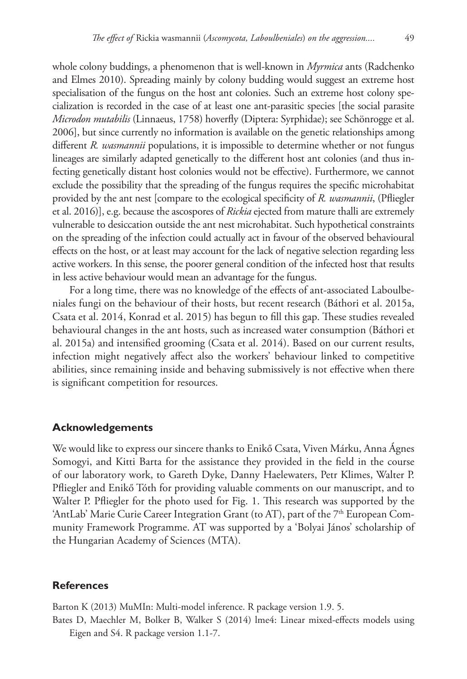whole colony buddings, a phenomenon that is well-known in *Myrmica* ants (Radchenko and Elmes 2010). Spreading mainly by colony budding would suggest an extreme host specialisation of the fungus on the host ant colonies. Such an extreme host colony specialization is recorded in the case of at least one ant-parasitic species [the social parasite *Microdon mutabilis* (Linnaeus, 1758) hoverfly (Diptera: Syrphidae); see Schönrogge et al. 2006], but since currently no information is available on the genetic relationships among different *R. wasmannii* populations, it is impossible to determine whether or not fungus lineages are similarly adapted genetically to the different host ant colonies (and thus infecting genetically distant host colonies would not be effective). Furthermore, we cannot exclude the possibility that the spreading of the fungus requires the specific microhabitat provided by the ant nest [compare to the ecological specificity of *R. wasmannii*, (Pfliegler et al. 2016)], e.g. because the ascospores of *Rickia* ejected from mature thalli are extremely vulnerable to desiccation outside the ant nest microhabitat. Such hypothetical constraints on the spreading of the infection could actually act in favour of the observed behavioural effects on the host, or at least may account for the lack of negative selection regarding less active workers. In this sense, the poorer general condition of the infected host that results in less active behaviour would mean an advantage for the fungus.

For a long time, there was no knowledge of the effects of ant-associated Laboulbeniales fungi on the behaviour of their hosts, but recent research (Báthori et al. 2015a, Csata et al. 2014, Konrad et al. 2015) has begun to fill this gap. These studies revealed behavioural changes in the ant hosts, such as increased water consumption (Báthori et al. 2015a) and intensified grooming (Csata et al. 2014). Based on our current results, infection might negatively affect also the workers' behaviour linked to competitive abilities, since remaining inside and behaving submissively is not effective when there is significant competition for resources.

## **Acknowledgements**

We would like to express our sincere thanks to Enikő Csata, Viven Márku, Anna Ágnes Somogyi, and Kitti Barta for the assistance they provided in the field in the course of our laboratory work, to Gareth Dyke, Danny Haelewaters, Petr Klimes, Walter P. Pfliegler and Enikő Tóth for providing valuable comments on our manuscript, and to Walter P. Pfliegler for the photo used for Fig. 1. This research was supported by the 'AntLab' Marie Curie Career Integration Grant (to AT), part of the  $7<sup>th</sup>$  European Community Framework Programme. AT was supported by a 'Bolyai János' scholarship of the Hungarian Academy of Sciences (MTA).

## **References**

Barton K (2013) MuMIn: Multi-model inference. R package version 1.9. 5.

Bates D, Maechler M, Bolker B, Walker S (2014) lme4: Linear mixed-effects models using Eigen and S4. R package version 1.1-7.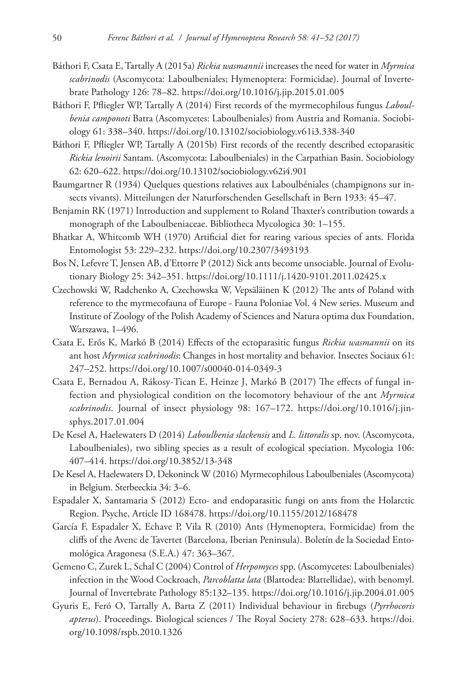- Báthori F, Csata E, Tartally A (2015a) *Rickia wasmannii* increases the need for water in *Myrmica scabrinodis* (Ascomycota: Laboulbeniales; Hymenoptera: Formicidae). Journal of Invertebrate Pathology 126: 78–82.<https://doi.org/10.1016/j.jip.2015.01.005>
- Báthori F, Pfliegler WP, Tartally A (2014) First records of the myrmecophilous fungus *Laboulbenia camponoti* Batra (Ascomycetes: Laboulbeniales) from Austria and Romania. Sociobiology 61: 338–340. <https://doi.org/10.13102/sociobiology.v61i3.338-340>
- Báthori F, Pfliegler WP, Tartally A (2015b) First records of the recently described ectoparasitic *Rickia lenoirii* Santam. (Ascomycota: Laboulbeniales) in the Carpathian Basin. Sociobiology 62: 620–622.<https://doi.org/10.13102/sociobiology.v62i4.901>
- Baumgartner R (1934) Quelques questions relatives aux Laboulbéniales (champignons sur insects vivants). Mitteilungen der Naturforschenden Gesellschaft in Bern 1933: 45–47.
- Benjamin RK (1971) Introduction and supplement to Roland Thaxter's contribution towards a monograph of the Laboulbeniaceae. Bibliotheca Mycologica 30: 1–155.
- Bhatkar A, Whitcomb WH (1970) Artificial diet for rearing various species of ants. Florida Entomologist 53: 229–232.<https://doi.org/10.2307/3493193>
- Bos N, Lefevre T, Jensen AB, d'Ettorre P (2012) Sick ants become unsociable. Journal of Evolutionary Biology 25: 342–351. <https://doi.org/10.1111/j.1420-9101.2011.02425.x>
- Czechowski W, Radchenko A, Czechowska W, Vepsäläinen K (2012) The ants of Poland with reference to the myrmecofauna of Europe - Fauna Poloniae Vol. 4 New series. Museum and Institute of Zoology of the Polish Academy of Sciences and Natura optima dux Foundation, Warszawa, 1–496.
- Csata E, Erős K, Markó B (2014) Effects of the ectoparasitic fungus *Rickia wasmannii* on its ant host *Myrmica scabrinodis*: Changes in host mortality and behavior. Insectes Sociaux 61: 247–252.<https://doi.org/10.1007/s00040-014-0349-3>
- Csata E, Bernadou A, Rákosy-Tican E, Heinze J, Markó B (2017) The effects of fungal infection and physiological condition on the locomotory behaviour of the ant *Myrmica scabrinodis*. Journal of insect physiology 98: 167–172. [https://doi.org/10.1016/j.jin](https://doi.org/10.1016/j.jinsphys.2017.01.004)[sphys.2017.01.004](https://doi.org/10.1016/j.jinsphys.2017.01.004)
- De Kesel A, Haelewaters D (2014) *Laboulbenia slackensis* and *L. littoralis* sp. nov. (Ascomycota, Laboulbeniales), two sibling species as a result of ecological speciation. Mycologia 106: 407–414.<https://doi.org/10.3852/13-348>
- De Kesel A, Haelewaters D, Dekoninck W (2016) Myrmecophilous Laboulbeniales (Ascomycota) in Belgium. Sterbeeckia 34: 3–6.
- Espadaler X, Santamaria S (2012) Ecto- and endoparasitic fungi on ants from the Holarctic Region. Psyche, Article ID 168478.<https://doi.org/10.1155/2012/168478>
- García F, Espadaler X, Echave P, Vila R (2010) Ants (Hymenoptera, Formicidae) from the cliffs of the Avenc de Tavertet (Barcelona, Iberian Peninsula). Boletín de la Sociedad Entomológica Aragonesa (S.E.A.) 47: 363–367.
- Gemeno C, Zurek L, Schal C (2004) Control of *Herpomyces* spp. (Ascomycetes: Laboulbeniales) infection in the Wood Cockroach, *Parcoblatta lata* (Blattodea: Blattellidae), with benomyl. Journal of Invertebrate Pathology 85:132–135.<https://doi.org/10.1016/j.jip.2004.01.005>
- Gyuris E, Feró O, Tartally A, Barta Z (2011) Individual behaviour in firebugs (*Pyrrhocoris apterus*). Proceedings. Biological sciences / The Royal Society 278: 628–633. [https://doi.](https://doi.org/10.1098/rspb.2010.1326) [org/10.1098/rspb.2010.1326](https://doi.org/10.1098/rspb.2010.1326)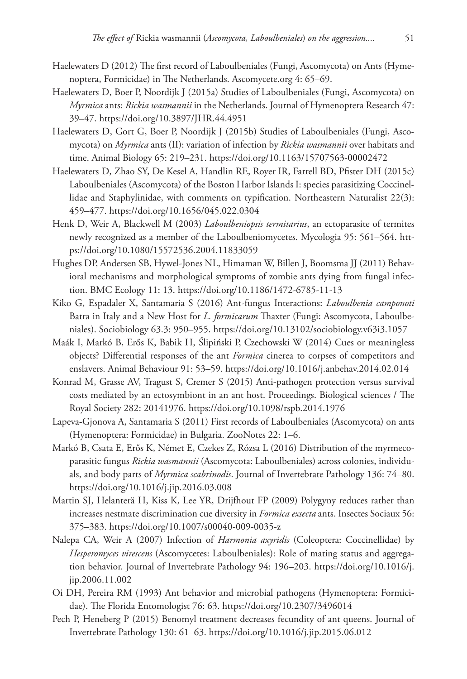- Haelewaters D (2012) The first record of Laboulbeniales (Fungi, Ascomycota) on Ants (Hymenoptera, Formicidae) in The Netherlands. Ascomycete.org 4: 65–69.
- Haelewaters D, Boer P, Noordijk J (2015a) Studies of Laboulbeniales (Fungi, Ascomycota) on *Myrmica* ants: *Rickia wasmannii* in the Netherlands. Journal of Hymenoptera Research 47: 39–47.<https://doi.org/10.3897/JHR.44.4951>
- Haelewaters D, Gort G, Boer P, Noordijk J (2015b) Studies of Laboulbeniales (Fungi, Ascomycota) on *Myrmica* ants (II): variation of infection by *Rickia wasmannii* over habitats and time. Animal Biology 65: 219–231. <https://doi.org/10.1163/15707563-00002472>
- Haelewaters D, Zhao SY, De Kesel A, Handlin RE, Royer IR, Farrell BD, Pfister DH (2015c) Laboulbeniales (Ascomycota) of the Boston Harbor Islands I: species parasitizing Coccinellidae and Staphylinidae, with comments on typification. Northeastern Naturalist 22(3): 459–477.<https://doi.org/10.1656/045.022.0304>
- Henk D, Weir A, Blackwell M (2003) *Laboulbeniopsis termitarius*, an ectoparasite of termites newly recognized as a member of the Laboulbeniomycetes. Mycologia 95: 561–564. [htt](https://doi.org/10.1080/15572536.2004.11833059)[ps://doi.org/10.1080/15572536.2004.11833059](https://doi.org/10.1080/15572536.2004.11833059)
- Hughes DP, Andersen SB, Hywel-Jones NL, Himaman W, Billen J, Boomsma JJ (2011) Behavioral mechanisms and morphological symptoms of zombie ants dying from fungal infection. BMC Ecology 11: 13.<https://doi.org/10.1186/1472-6785-11-13>
- Kiko G, Espadaler X, Santamaria S (2016) Ant-fungus Interactions: *Laboulbenia camponoti* Batra in Italy and a New Host for *L. formicarum* Thaxter (Fungi: Ascomycota, Laboulbeniales). Sociobiology 63.3: 950–955. <https://doi.org/10.13102/sociobiology.v63i3.1057>
- Maák I, Markó B, Erős K, Babik H, Ślipiński P, Czechowski W (2014) Cues or meaningless objects? Differential responses of the ant *Formica* cinerea to corpses of competitors and enslavers. Animal Behaviour 91: 53–59. <https://doi.org/10.1016/j.anbehav.2014.02.014>
- Konrad M, Grasse AV, Tragust S, Cremer S (2015) Anti-pathogen protection versus survival costs mediated by an ectosymbiont in an ant host. Proceedings. Biological sciences / The Royal Society 282: 20141976.<https://doi.org/10.1098/rspb.2014.1976>
- Lapeva-Gjonova A, Santamaria S (2011) First records of Laboulbeniales (Ascomycota) on ants (Hymenoptera: Formicidae) in Bulgaria. ZooNotes 22: 1–6.
- Markó B, Csata E, Erős K, Német E, Czekes Z, Rózsa L (2016) Distribution of the myrmecoparasitic fungus *Rickia wasmannii* (Ascomycota: Laboulbeniales) across colonies, individuals, and body parts of *Myrmica scabrinodis*. Journal of Invertebrate Pathology 136: 74–80. <https://doi.org/10.1016/j.jip.2016.03.008>
- Martin SJ, Helanterä H, Kiss K, Lee YR, Drijfhout FP (2009) Polygyny reduces rather than increases nestmate discrimination cue diversity in *Formica exsecta* ants. Insectes Sociaux 56: 375–383.<https://doi.org/10.1007/s00040-009-0035-z>
- Nalepa CA, Weir A (2007) Infection of *Harmonia axyridis* (Coleoptera: Coccinellidae) by *Hesperomyces virescens* (Ascomycetes: Laboulbeniales): Role of mating status and aggregation behavior. Journal of Invertebrate Pathology 94: 196–203. [https://doi.org/10.1016/j.](https://doi.org/10.1016/j.jip.2006.11.002) [jip.2006.11.002](https://doi.org/10.1016/j.jip.2006.11.002)
- Oi DH, Pereira RM (1993) Ant behavior and microbial pathogens (Hymenoptera: Formicidae). The Florida Entomologist 76: 63. <https://doi.org/10.2307/3496014>
- Pech P, Heneberg P (2015) Benomyl treatment decreases fecundity of ant queens. Journal of Invertebrate Pathology 130: 61–63.<https://doi.org/10.1016/j.jip.2015.06.012>